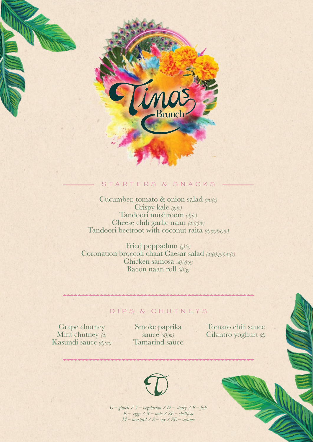

# STARTERS & SNACKS

Cucumber, tomato & onion salad *(m)(v)* Crispy kale *(g)(v)* Tandoori mushroom *(d)(v)* Cheese chili garlic naan *(d)(g)(v)* Tandoori beetroot with coconut raita *(d)(n)(se)(v)*

Fried poppadum *(g)(v)* Coronation broccoli chaat Caesar salad *(d)(e)(g)(m)(v)* Chicken samosa *(d)(e)(g)* Bacon naan roll *(d)(g)*

#### DIPS & CHUTNEYS

Grape chutney Mint chutney *(d)* Kasundi sauce *(d)(m)* Smoke paprika sauce  $(d)(m)$ Tamarind sauce

Tomato chili sauce Cilantro yoghurt *(d)*



*G – gluten / V – vegetarian / D – dairy / F – fish E – eggs / N – nuts / SF – shellfish M – mustard / S – soy / SE – sesame*